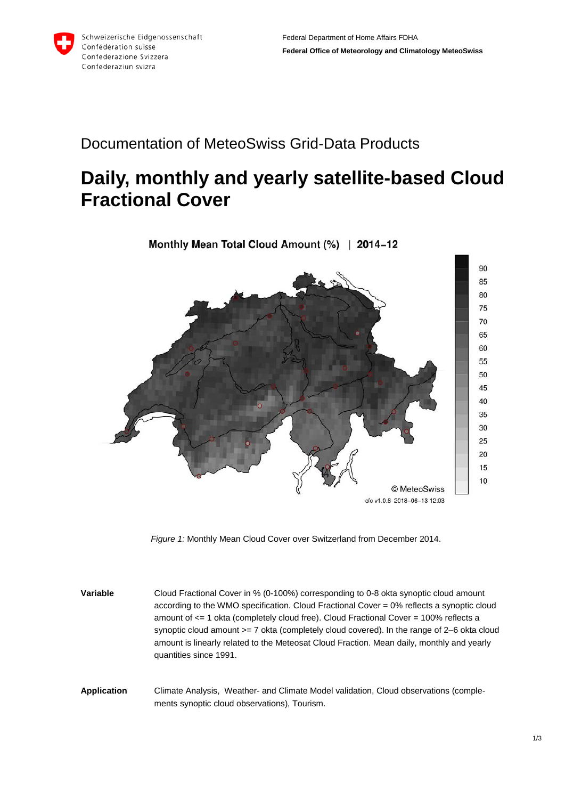

## Documentation of MeteoSwiss Grid-Data Products

## **Daily, monthly and yearly satellite-based Cloud Fractional Cover**



*Figure 1:* Monthly Mean Cloud Cover over Switzerland from December 2014.

**Variable** Cloud Fractional Cover in % (0-100%) corresponding to 0-8 okta synoptic cloud amount according to the WMO specification. Cloud Fractional Cover = 0% reflects a synoptic cloud amount of <= 1 okta (completely cloud free). Cloud Fractional Cover = 100% reflects a synoptic cloud amount >= 7 okta (completely cloud covered). In the range of 2–6 okta cloud amount is linearly related to the Meteosat Cloud Fraction. Mean daily, monthly and yearly quantities since 1991.

**Application** Climate Analysis, Weather- and Climate Model validation, Cloud observations (complements synoptic cloud observations), Tourism.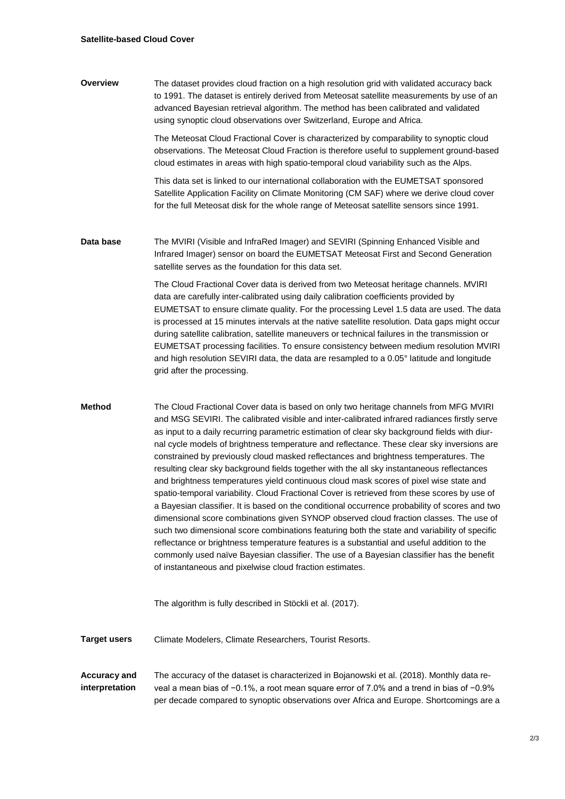**Overview** The dataset provides cloud fraction on a high resolution grid with validated accuracy back to 1991. The dataset is entirely derived from Meteosat satellite measurements by use of an advanced Bayesian retrieval algorithm. The method has been calibrated and validated using synoptic cloud observations over Switzerland, Europe and Africa.

> The Meteosat Cloud Fractional Cover is characterized by comparability to synoptic cloud observations. The Meteosat Cloud Fraction is therefore useful to supplement ground-based cloud estimates in areas with high spatio-temporal cloud variability such as the Alps.

This data set is linked to our international collaboration with the EUMETSAT sponsored Satellite Application Facility on Climate Monitoring (CM SAF) where we derive cloud cover for the full Meteosat disk for the whole range of Meteosat satellite sensors since 1991.

**Data base** The MVIRI (Visible and InfraRed Imager) and SEVIRI (Spinning Enhanced Visible and Infrared Imager) sensor on board the EUMETSAT Meteosat First and Second Generation satellite serves as the foundation for this data set.

> The Cloud Fractional Cover data is derived from two Meteosat heritage channels. MVIRI data are carefully inter-calibrated using daily calibration coefficients provided by EUMETSAT to ensure climate quality. For the processing Level 1.5 data are used. The data is processed at 15 minutes intervals at the native satellite resolution. Data gaps might occur during satellite calibration, satellite maneuvers or technical failures in the transmission or EUMETSAT processing facilities. To ensure consistency between medium resolution MVIRI and high resolution SEVIRI data, the data are resampled to a 0.05° latitude and longitude grid after the processing.

**Method** The Cloud Fractional Cover data is based on only two heritage channels from MFG MVIRI and MSG SEVIRI. The calibrated visible and inter-calibrated infrared radiances firstly serve as input to a daily recurring parametric estimation of clear sky background fields with diurnal cycle models of brightness temperature and reflectance. These clear sky inversions are constrained by previously cloud masked reflectances and brightness temperatures. The resulting clear sky background fields together with the all sky instantaneous reflectances and brightness temperatures yield continuous cloud mask scores of pixel wise state and spatio-temporal variability. Cloud Fractional Cover is retrieved from these scores by use of a Bayesian classifier. It is based on the conditional occurrence probability of scores and two dimensional score combinations given SYNOP observed cloud fraction classes. The use of such two dimensional score combinations featuring both the state and variability of specific reflectance or brightness temperature features is a substantial and useful addition to the commonly used naïve Bayesian classifier. The use of a Bayesian classifier has the benefit of instantaneous and pixelwise cloud fraction estimates.

The algorithm is fully described in Stöckli et al. (2017).

- **Target users** Climate Modelers, Climate Researchers, Tourist Resorts.
- **Accuracy and interpretation** The accuracy of the dataset is characterized in Bojanowski et al. (2018). Monthly data reveal a mean bias of −0.1%, a root mean square error of 7.0% and a trend in bias of −0.9% per decade compared to synoptic observations over Africa and Europe. Shortcomings are a